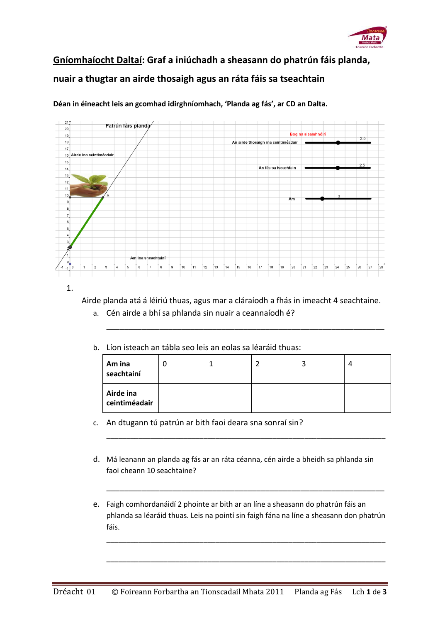

## **Gníomhaíocht Daltaí: Graf a iniúchadh a sheasann do phatrún fáis planda, nuair a thugtar an airde thosaigh agus an ráta fáis sa tseachtain**



**Déan in éineacht leis an gcomhad idirghníomhach, 'Planda ag fás', ar CD an Dalta.**

1.

Airde planda atá á léiriú thuas, agus mar a cláraíodh a fhás in imeacht 4 seachtaine.

- a. Cén airde a bhí sa phlanda sin nuair a ceannaíodh é?
- b. Líon isteach an tábla seo leis an eolas sa léaráid thuas:

| Am ina<br>seachtainí       |  |  |  |
|----------------------------|--|--|--|
| Airde ina<br>ceintiméadair |  |  |  |

\_\_\_\_\_\_\_\_\_\_\_\_\_\_\_\_\_\_\_\_\_\_\_\_\_\_\_\_\_\_\_\_\_\_\_\_\_\_\_\_\_\_\_\_\_\_\_\_\_\_\_\_\_\_\_\_\_\_\_\_\_\_\_\_\_\_\_\_\_

\_\_\_\_\_\_\_\_\_\_\_\_\_\_\_\_\_\_\_\_\_\_\_\_\_\_\_\_\_\_\_\_\_\_\_\_\_\_\_\_\_\_\_\_\_\_\_\_\_\_\_\_\_\_\_\_\_\_\_\_\_\_\_

- c. An dtugann tú patrún ar bith faoi deara sna sonraí sin?
- d. Má leanann an planda ag fás ar an ráta céanna, cén airde a bheidh sa phlanda sin faoi cheann 10 seachtaine?
- e. Faigh comhordanáidí 2 phointe ar bith ar an líne a sheasann do phatrún fáis an phlanda sa léaráid thuas. Leis na pointí sin faigh fána na líne a sheasann don phatrún fáis.

\_\_\_\_\_\_\_\_\_\_\_\_\_\_\_\_\_\_\_\_\_\_\_\_\_\_\_\_\_\_\_\_\_\_\_\_\_\_\_\_\_\_\_\_\_\_\_\_\_\_\_\_\_\_\_\_\_\_\_\_\_\_\_\_\_\_\_\_\_

\_\_\_\_\_\_\_\_\_\_\_\_\_\_\_\_\_\_\_\_\_\_\_\_\_\_\_\_\_\_\_\_\_\_\_\_\_\_\_\_\_\_\_\_\_\_\_\_\_\_\_\_\_\_\_\_\_\_\_\_\_\_\_\_\_\_\_\_\_

\_\_\_\_\_\_\_\_\_\_\_\_\_\_\_\_\_\_\_\_\_\_\_\_\_\_\_\_\_\_\_\_\_\_\_\_\_\_\_\_\_\_\_\_\_\_\_\_\_\_\_\_\_\_\_\_\_\_\_\_\_\_\_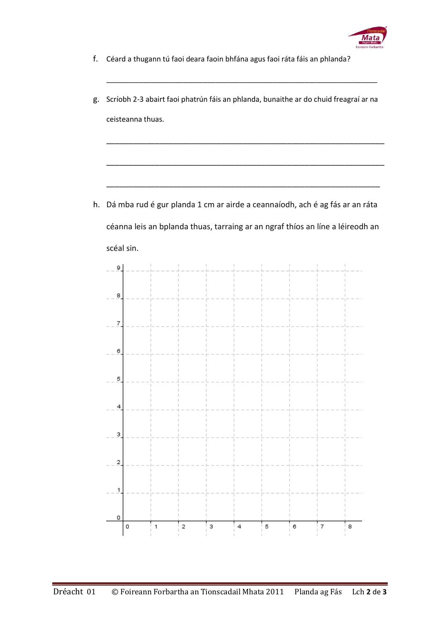

- f. Céard a thugann tú faoi deara faoin bhfána agus faoi ráta fáis an phlanda?
- g. Scríobh 2-3 abairt faoi phatrún fáis an phlanda, bunaithe ar do chuid freagraí ar na ceisteanna thuas.

\_\_\_\_\_\_\_\_\_\_\_\_\_\_\_\_\_\_\_\_\_\_\_\_\_\_\_\_\_\_\_\_\_\_\_\_\_\_\_\_\_\_\_\_\_\_\_\_\_\_\_\_\_\_\_\_\_\_\_\_\_\_\_

\_\_\_\_\_\_\_\_\_\_\_\_\_\_\_\_\_\_\_\_\_\_\_\_\_\_\_\_\_\_\_\_\_\_\_\_\_\_\_\_\_\_\_\_\_\_\_\_\_\_\_\_\_\_\_\_\_\_\_\_\_\_\_

\_\_\_\_\_\_\_\_\_\_\_\_\_\_\_\_\_\_\_\_\_\_\_\_\_\_\_\_\_\_\_\_\_\_\_\_\_\_\_\_\_\_\_\_\_\_\_\_\_\_\_\_\_\_\_\_\_\_\_\_\_\_

\_\_\_\_\_\_\_\_\_\_\_\_\_\_\_\_\_\_\_\_\_\_\_\_\_\_\_\_\_\_\_\_\_\_\_\_\_\_\_\_\_\_\_\_\_\_\_\_\_\_\_\_\_\_\_\_\_\_\_\_\_\_\_\_\_\_\_

h. Dá mba rud é gur planda 1 cm ar airde a ceannaíodh, ach é ag fás ar an ráta céanna leis an bplanda thuas, tarraing ar an ngraf thíos an líne a léireodh an scéal sin.